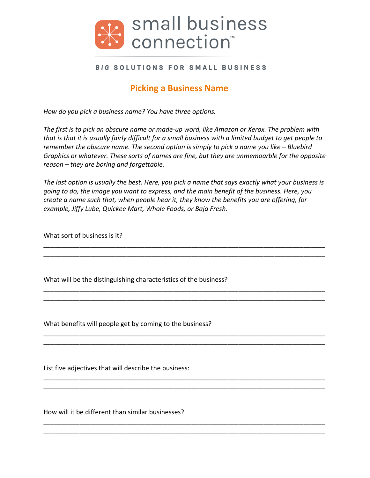

## BIG SOLUTIONS FOR SMALL BUSINESS

## **Picking a Business Name**

*How do you pick a business name?* You have three options.

The first is to pick an obscure name or made-up word, like Amazon or Xerox. The problem with *that* is that it is usually fairly difficult for a small business with a limited budget to get people to *remember the obscure name. The second option is simply to pick a name you like – Bluebird Graphics or whatever. These sorts of names are fine, but they are unmemoarble for the opposite reason* – *they are boring and forgettable.* 

The last option is usually the best. Here, you pick a name that says exactly what your business is *going to do, the image you want to express, and the main benefit of the business. Here, you create a name such that, when people hear it, they know the benefits you are offering, for* example, Jiffy Lube, Quickee Mart, Whole Foods, or Baja Fresh.

\_\_\_\_\_\_\_\_\_\_\_\_\_\_\_\_\_\_\_\_\_\_\_\_\_\_\_\_\_\_\_\_\_\_\_\_\_\_\_\_\_\_\_\_\_\_\_\_\_\_\_\_\_\_\_\_\_\_\_\_\_\_\_\_\_\_\_\_\_\_\_\_\_\_\_\_\_\_ \_\_\_\_\_\_\_\_\_\_\_\_\_\_\_\_\_\_\_\_\_\_\_\_\_\_\_\_\_\_\_\_\_\_\_\_\_\_\_\_\_\_\_\_\_\_\_\_\_\_\_\_\_\_\_\_\_\_\_\_\_\_\_\_\_\_\_\_\_\_\_\_\_\_\_\_\_\_

\_\_\_\_\_\_\_\_\_\_\_\_\_\_\_\_\_\_\_\_\_\_\_\_\_\_\_\_\_\_\_\_\_\_\_\_\_\_\_\_\_\_\_\_\_\_\_\_\_\_\_\_\_\_\_\_\_\_\_\_\_\_\_\_\_\_\_\_\_\_\_\_\_\_\_\_\_\_ \_\_\_\_\_\_\_\_\_\_\_\_\_\_\_\_\_\_\_\_\_\_\_\_\_\_\_\_\_\_\_\_\_\_\_\_\_\_\_\_\_\_\_\_\_\_\_\_\_\_\_\_\_\_\_\_\_\_\_\_\_\_\_\_\_\_\_\_\_\_\_\_\_\_\_\_\_\_

\_\_\_\_\_\_\_\_\_\_\_\_\_\_\_\_\_\_\_\_\_\_\_\_\_\_\_\_\_\_\_\_\_\_\_\_\_\_\_\_\_\_\_\_\_\_\_\_\_\_\_\_\_\_\_\_\_\_\_\_\_\_\_\_\_\_\_\_\_\_\_\_\_\_\_\_\_\_ \_\_\_\_\_\_\_\_\_\_\_\_\_\_\_\_\_\_\_\_\_\_\_\_\_\_\_\_\_\_\_\_\_\_\_\_\_\_\_\_\_\_\_\_\_\_\_\_\_\_\_\_\_\_\_\_\_\_\_\_\_\_\_\_\_\_\_\_\_\_\_\_\_\_\_\_\_\_

\_\_\_\_\_\_\_\_\_\_\_\_\_\_\_\_\_\_\_\_\_\_\_\_\_\_\_\_\_\_\_\_\_\_\_\_\_\_\_\_\_\_\_\_\_\_\_\_\_\_\_\_\_\_\_\_\_\_\_\_\_\_\_\_\_\_\_\_\_\_\_\_\_\_\_\_\_\_ \_\_\_\_\_\_\_\_\_\_\_\_\_\_\_\_\_\_\_\_\_\_\_\_\_\_\_\_\_\_\_\_\_\_\_\_\_\_\_\_\_\_\_\_\_\_\_\_\_\_\_\_\_\_\_\_\_\_\_\_\_\_\_\_\_\_\_\_\_\_\_\_\_\_\_\_\_\_

\_\_\_\_\_\_\_\_\_\_\_\_\_\_\_\_\_\_\_\_\_\_\_\_\_\_\_\_\_\_\_\_\_\_\_\_\_\_\_\_\_\_\_\_\_\_\_\_\_\_\_\_\_\_\_\_\_\_\_\_\_\_\_\_\_\_\_\_\_\_\_\_\_\_\_\_\_\_ \_\_\_\_\_\_\_\_\_\_\_\_\_\_\_\_\_\_\_\_\_\_\_\_\_\_\_\_\_\_\_\_\_\_\_\_\_\_\_\_\_\_\_\_\_\_\_\_\_\_\_\_\_\_\_\_\_\_\_\_\_\_\_\_\_\_\_\_\_\_\_\_\_\_\_\_\_\_

What sort of business is it?

What will be the distinguishing characteristics of the business?

What benefits will people get by coming to the business?

List five adjectives that will describe the business:

How will it be different than similar businesses?